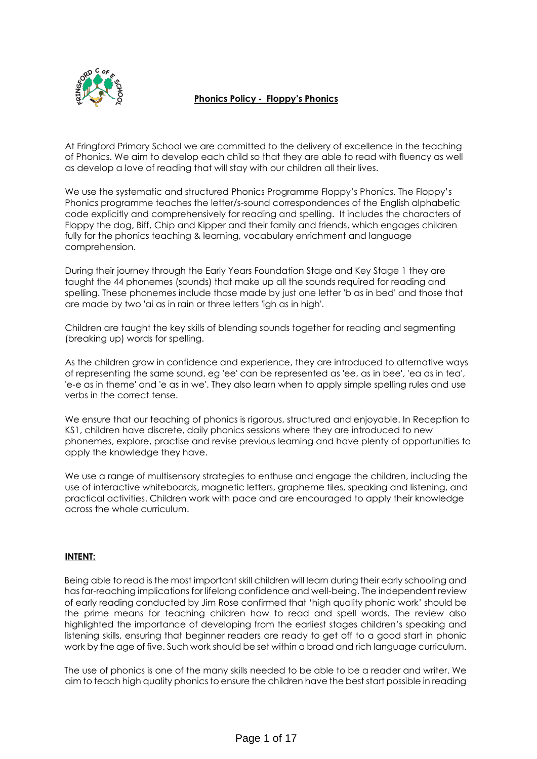

# **Phonics Policy - Floppy's Phonics**

At Fringford Primary School we are committed to the delivery of excellence in the teaching of Phonics. We aim to develop each child so that they are able to read with fluency as well as develop a love of reading that will stay with our children all their lives.

We use the systematic and structured Phonics Programme Floppy's Phonics. The Floppy's Phonics programme teaches the letter/s-sound correspondences of the English alphabetic code explicitly and comprehensively for reading and spelling. It includes the characters of Floppy the dog, Biff, Chip and Kipper and their family and friends, which engages children fully for the phonics teaching & learning, vocabulary enrichment and language comprehension.

During their journey through the Early Years Foundation Stage and Key Stage 1 they are taught the 44 phonemes (sounds) that make up all the sounds required for reading and spelling. These phonemes include those made by just one letter 'b as in bed' and those that are made by two 'ai as in rain or three letters 'igh as in high'.

Children are taught the key skills of blending sounds together for reading and segmenting (breaking up) words for spelling.

As the children grow in confidence and experience, they are introduced to alternative ways of representing the same sound, eg 'ee' can be represented as 'ee, as in bee', 'ea as in tea', 'e-e as in theme' and 'e as in we'. They also learn when to apply simple spelling rules and use verbs in the correct tense.

We ensure that our teaching of phonics is rigorous, structured and enjoyable. In Reception to KS1, children have discrete, daily phonics sessions where they are introduced to new phonemes, explore, practise and revise previous learning and have plenty of opportunities to apply the knowledge they have.

We use a range of multisensory strategies to enthuse and engage the children, including the use of interactive whiteboards, magnetic letters, grapheme tiles, speaking and listening, and practical activities. Children work with pace and are encouraged to apply their knowledge across the whole curriculum.

# **INTENT:**

Being able to read is the most important skill children will learn during their early schooling and has far-reaching implications for lifelong confidence and well-being. The independent review of early reading conducted by Jim Rose confirmed that 'high quality phonic work' should be the prime means for teaching children how to read and spell words. The review also highlighted the importance of developing from the earliest stages children's speaking and listening skills, ensuring that beginner readers are ready to get off to a good start in phonic work by the age of five. Such work should be set within a broad and rich language curriculum.

The use of phonics is one of the many skills needed to be able to be a reader and writer. We aim to teach high quality phonics to ensure the children have the best start possible in reading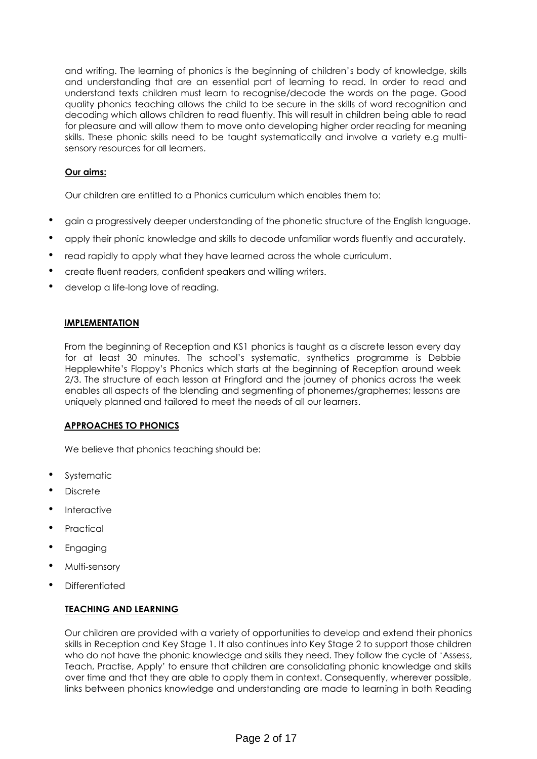and writing. The learning of phonics is the beginning of children's body of knowledge, skills and understanding that are an essential part of learning to read. In order to read and understand texts children must learn to recognise/decode the words on the page. Good quality phonics teaching allows the child to be secure in the skills of word recognition and decoding which allows children to read fluently. This will result in children being able to read for pleasure and will allow them to move onto developing higher order reading for meaning skills. These phonic skills need to be taught systematically and involve a variety e.g multisensory resources for all learners.

# **Our aims:**

Our children are entitled to a Phonics curriculum which enables them to:

- gain a progressively deeper understanding of the phonetic structure of the English language.
- apply their phonic knowledge and skills to decode unfamiliar words fluently and accurately.
- read rapidly to apply what they have learned across the whole curriculum.
- create fluent readers, confident speakers and willing writers.
- develop a life-long love of reading.

## **IMPLEMENTATION**

From the beginning of Reception and KS1 phonics is taught as a discrete lesson every day for at least 30 minutes. The school's systematic, synthetics programme is Debbie Hepplewhite's Floppy's Phonics which starts at the beginning of Reception around week 2/3. The structure of each lesson at Fringford and the journey of phonics across the week enables all aspects of the blending and segmenting of phonemes/graphemes; lessons are uniquely planned and tailored to meet the needs of all our learners.

## **APPROACHES TO PHONICS**

We believe that phonics teaching should be:

- **Systematic**
- Discrete
- **Interactive**
- **Practical**
- **Engaging**
- Multi-sensory
- **Differentiated**

## **TEACHING AND LEARNING**

Our children are provided with a variety of opportunities to develop and extend their phonics skills in Reception and Key Stage 1. It also continues into Key Stage 2 to support those children who do not have the phonic knowledge and skills they need. They follow the cycle of 'Assess, Teach, Practise, Apply' to ensure that children are consolidating phonic knowledge and skills over time and that they are able to apply them in context. Consequently, wherever possible, links between phonics knowledge and understanding are made to learning in both Reading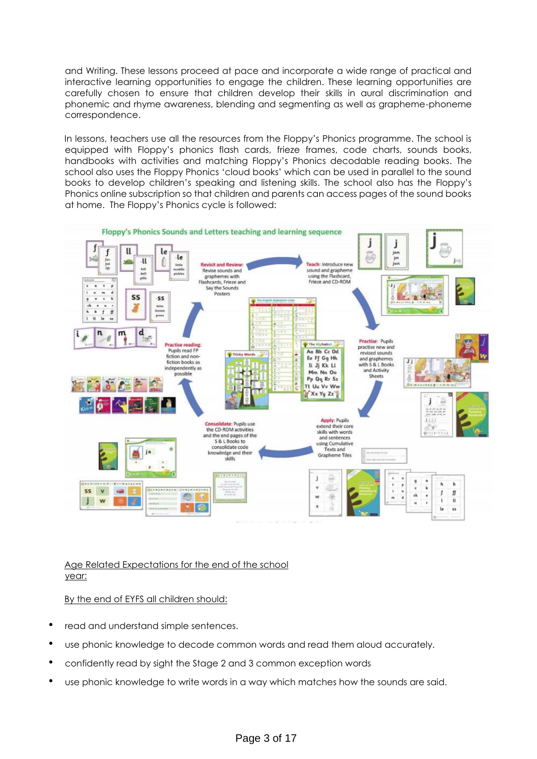and Writing. These lessons proceed at pace and incorporate a wide range of practical and interactive learning opportunities to engage the children. These learning opportunities are carefully chosen to ensure that children develop their skills in aural discrimination and phonemic and rhyme awareness, blending and segmenting as well as grapheme-phoneme correspondence.

In lessons, teachers use all the resources from the Floppy's Phonics programme. The school is equipped with Floppy's phonics flash cards, frieze frames, code charts, sounds books, handbooks with activities and matching Floppy's Phonics decodable reading books. The school also uses the Floppy Phonics 'cloud books' which can be used in parallel to the sound books to develop children's speaking and listening skills. The school also has the Floppy's Phonics online subscription so that children and parents can access pages of the sound books at home. The Floppy's Phonics cycle is followed:



Age Related Expectations for the end of the school year:

By the end of EYFS all children should:

- read and understand simple sentences.
- use phonic knowledge to decode common words and read them aloud accurately.
- confidently read by sight the Stage 2 and 3 common exception words
- use phonic knowledge to write words in a way which matches how the sounds are said.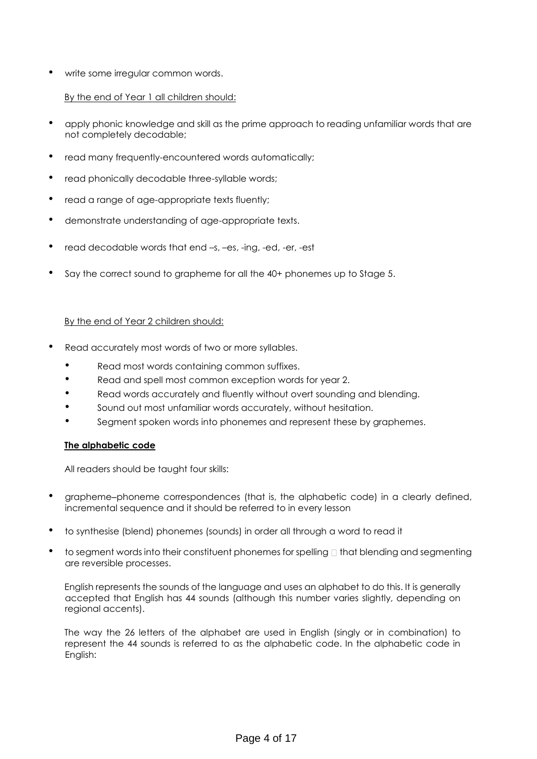write some irregular common words.

# By the end of Year 1 all children should:

- apply phonic knowledge and skill as the prime approach to reading unfamiliar words that are not completely decodable;
- read many frequently-encountered words automatically;
- read phonically decodable three-syllable words;
- read a range of age-appropriate texts fluently;
- demonstrate understanding of age-appropriate texts.
- read decodable words that end –s, –es, -ing, -ed, -er, -est
- Say the correct sound to grapheme for all the 40+ phonemes up to Stage 5.

# By the end of Year 2 children should:

- Read accurately most words of two or more syllables.
	- Read most words containing common suffixes.
	- Read and spell most common exception words for year 2.
	- Read words accurately and fluently without overt sounding and blending.
	- Sound out most unfamiliar words accurately, without hesitation.
	- Segment spoken words into phonemes and represent these by graphemes.

# **The alphabetic code**

All readers should be taught four skills:

- grapheme-phoneme correspondences (that is, the alphabetic code) in a clearly defined, incremental sequence and it should be referred to in every lesson
- to synthesise (blend) phonemes (sounds) in order all through a word to read it
- to segment words into their constituent phonemes for spelling  $\Box$  that blending and segmenting are reversible processes.

English represents the sounds of the language and uses an alphabet to do this. It is generally accepted that English has 44 sounds (although this number varies slightly, depending on regional accents).

The way the 26 letters of the alphabet are used in English (singly or in combination) to represent the 44 sounds is referred to as the alphabetic code. In the alphabetic code in English: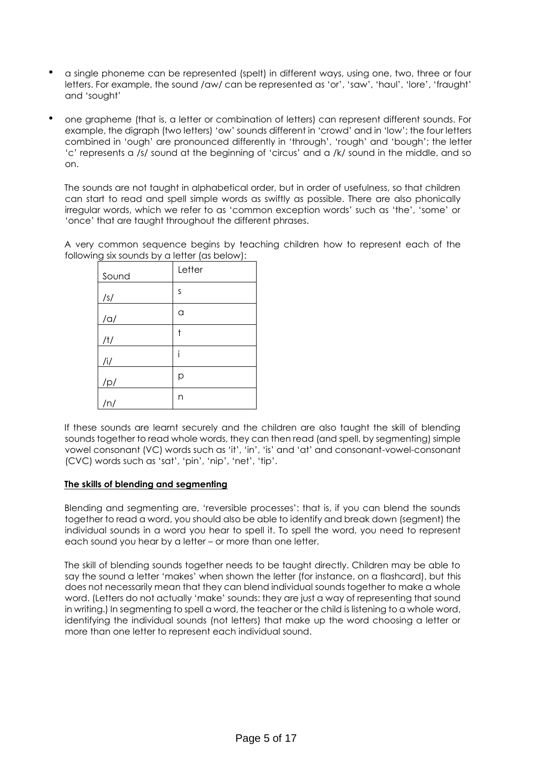- a single phoneme can be represented (spelt) in different ways, using one, two, three or four letters. For example, the sound /aw/ can be represented as 'or', 'saw', 'haul', 'lore', 'fraught' and 'sought'
- one grapheme (that is, a letter or combination of letters) can represent different sounds. For example, the digraph (two letters) 'ow' sounds different in 'crowd' and in 'low'; the four letters combined in 'ough' are pronounced differently in 'through', 'rough' and 'bough'; the letter 'c' represents a /s/ sound at the beginning of 'circus' and a /k/ sound in the middle, and so on.

The sounds are not taught in alphabetical order, but in order of usefulness, so that children can start to read and spell simple words as swiftly as possible. There are also phonically irregular words, which we refer to as 'common exception words' such as 'the', 'some' or 'once' that are taught throughout the different phrases.

A very common sequence begins by teaching children how to represent each of the following six sounds by a letter (as below):

| Sound      | Letter |
|------------|--------|
| /s/        | S      |
| $/\alpha/$ | a      |
| /t/        | t      |
| /i/        | i      |
| /p/        | р      |
| /n/        | n      |

If these sounds are learnt securely and the children are also taught the skill of blending sounds together to read whole words, they can then read (and spell, by segmenting) simple vowel consonant (VC) words such as 'it', 'in', 'is' and 'at' and consonant-vowel-consonant (CVC) words such as 'sat', 'pin', 'nip', 'net', 'tip'.

## **The skills of blending and segmenting**

Blending and segmenting are, 'reversible processes': that is, if you can blend the sounds together to read a word, you should also be able to identify and break down (segment) the individual sounds in a word you hear to spell it. To spell the word, you need to represent each sound you hear by a letter – or more than one letter.

The skill of blending sounds together needs to be taught directly. Children may be able to say the sound a letter 'makes' when shown the letter (for instance, on a flashcard), but this does not necessarily mean that they can blend individual sounds together to make a whole word. (Letters do not actually 'make' sounds: they are just a way of representing that sound in writing.) In segmenting to spell a word, the teacher or the child is listening to a whole word, identifying the individual sounds (not letters) that make up the word choosing a letter or more than one letter to represent each individual sound.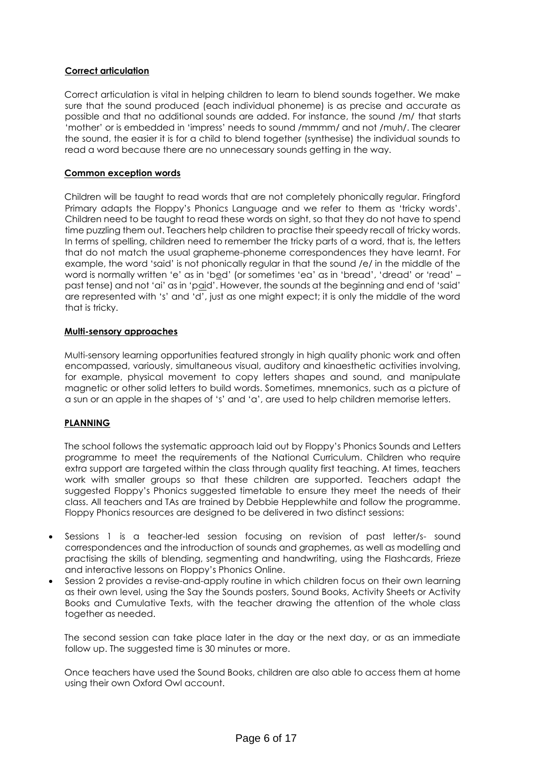## **Correct articulation**

Correct articulation is vital in helping children to learn to blend sounds together. We make sure that the sound produced (each individual phoneme) is as precise and accurate as possible and that no additional sounds are added. For instance, the sound /m/ that starts 'mother' or is embedded in 'impress' needs to sound /mmmm/ and not /muh/. The clearer the sound, the easier it is for a child to blend together (synthesise) the individual sounds to read a word because there are no unnecessary sounds getting in the way.

## **Common exception words**

Children will be taught to read words that are not completely phonically regular. Fringford Primary adapts the Floppy's Phonics Language and we refer to them as 'tricky words'. Children need to be taught to read these words on sight, so that they do not have to spend time puzzling them out. Teachers help children to practise their speedy recall of tricky words. In terms of spelling, children need to remember the tricky parts of a word, that is, the letters that do not match the usual grapheme-phoneme correspondences they have learnt. For example, the word 'said' is not phonically regular in that the sound /e/ in the middle of the word is normally written 'e' as in 'bed' (or sometimes 'ea' as in 'bread', 'dread' or 'read' past tense) and not 'ai' as in 'paid'. However, the sounds at the beginning and end of 'said' are represented with 's' and 'd', just as one might expect; it is only the middle of the word that is tricky.

## **Multi-sensory approaches**

Multi-sensory learning opportunities featured strongly in high quality phonic work and often encompassed, variously, simultaneous visual, auditory and kinaesthetic activities involving, for example, physical movement to copy letters shapes and sound, and manipulate magnetic or other solid letters to build words. Sometimes, mnemonics, such as a picture of a sun or an apple in the shapes of 's' and 'a', are used to help children memorise letters.

# **PLANNING**

The school follows the systematic approach laid out by Floppy's Phonics Sounds and Letters programme to meet the requirements of the National Curriculum. Children who require extra support are targeted within the class through quality first teaching. At times, teachers work with smaller groups so that these children are supported. Teachers adapt the suggested Floppy's Phonics suggested timetable to ensure they meet the needs of their class. All teachers and TAs are trained by Debbie Hepplewhite and follow the programme. Floppy Phonics resources are designed to be delivered in two distinct sessions:

- Sessions 1 is a teacher-led session focusing on revision of past letter/s- sound correspondences and the introduction of sounds and graphemes, as well as modelling and practising the skills of blending, segmenting and handwriting, using the Flashcards, Frieze and interactive lessons on Floppy's Phonics Online.
- Session 2 provides a revise-and-apply routine in which children focus on their own learning as their own level, using the Say the Sounds posters, Sound Books, Activity Sheets or Activity Books and Cumulative Texts, with the teacher drawing the attention of the whole class together as needed.

The second session can take place later in the day or the next day, or as an immediate follow up. The suggested time is 30 minutes or more.

Once teachers have used the Sound Books, children are also able to access them at home using their own Oxford Owl account.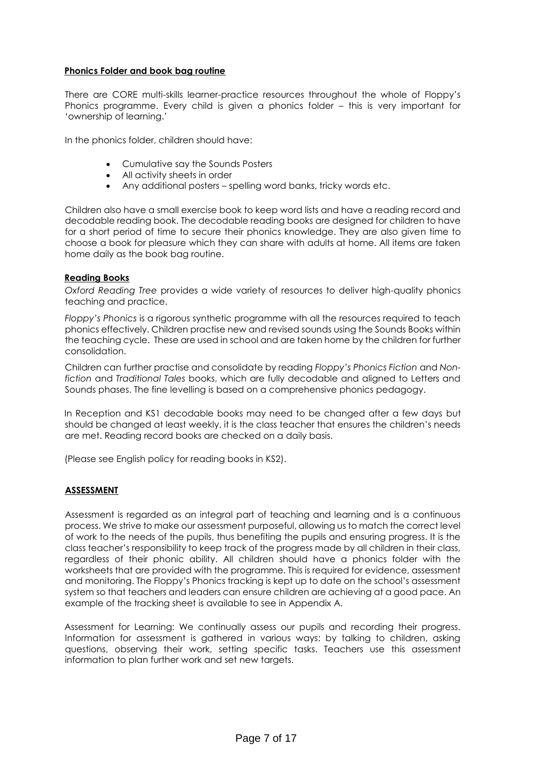## **Phonics Folder and book bag routine**

There are CORE multi-skills learner-practice resources throughout the whole of Floppy's Phonics programme. Every child is given a phonics folder – this is very important for 'ownership of learning.'

In the phonics folder, children should have:

- Cumulative say the Sounds Posters
- All activity sheets in order
- Any additional posters spelling word banks, tricky words etc.

Children also have a small exercise book to keep word lists and have a reading record and decodable reading book. The decodable reading books are designed for children to have for a short period of time to secure their phonics knowledge. They are also given time to choose a book for pleasure which they can share with adults at home. All items are taken home daily as the book bag routine.

## **Reading Books**

*Oxford Reading Tree* provides a wide variety of resources to deliver high-quality phonics teaching and practice.

*Floppy's Phonics* is a rigorous synthetic programme with all the resources required to teach phonics effectively. Children practise new and revised sounds using the Sounds Books within the teaching cycle. These are used in school and are taken home by the children for further consolidation.

Children can further practise and consolidate by reading *Floppy's Phonics Fiction* and *Nonfiction* and *Traditional Tales* books, which are fully decodable and aligned to Letters and Sounds phases. The fine levelling is based on a comprehensive phonics pedagogy.

In Reception and KS1 decodable books may need to be changed after a few days but should be changed at least weekly, it is the class teacher that ensures the children's needs are met. Reading record books are checked on a daily basis.

(Please see English policy for reading books in KS2).

## **ASSESSMENT**

Assessment is regarded as an integral part of teaching and learning and is a continuous process. We strive to make our assessment purposeful, allowing us to match the correct level of work to the needs of the pupils, thus benefiting the pupils and ensuring progress. It is the class teacher's responsibility to keep track of the progress made by all children in their class, regardless of their phonic ability. All children should have a phonics folder with the worksheets that are provided with the programme. This is required for evidence, assessment and monitoring. The Floppy's Phonics tracking is kept up to date on the school's assessment system so that teachers and leaders can ensure children are achieving at a good pace. An example of the tracking sheet is available to see in Appendix A.

Assessment for Learning: We continually assess our pupils and recording their progress. Information for assessment is gathered in various ways: by talking to children, asking questions, observing their work, setting specific tasks. Teachers use this assessment information to plan further work and set new targets.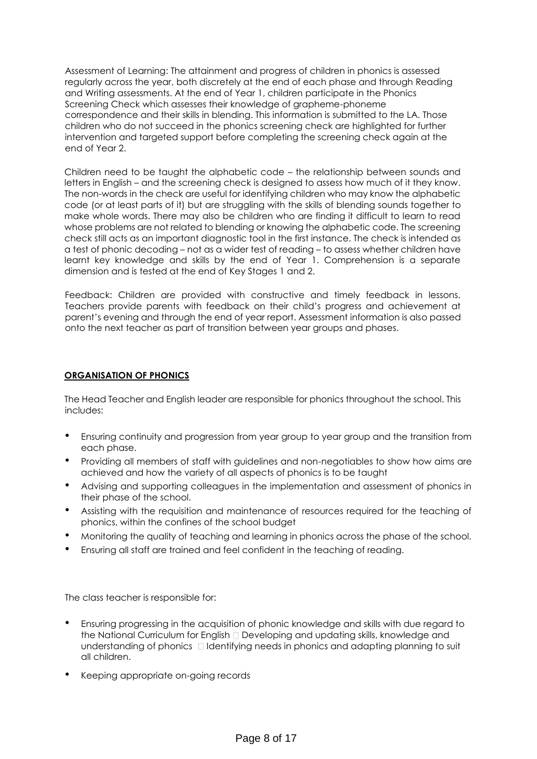Assessment of Learning: The attainment and progress of children in phonics is assessed regularly across the year, both discretely at the end of each phase and through Reading and Writing assessments. At the end of Year 1, children participate in the Phonics Screening Check which assesses their knowledge of grapheme-phoneme correspondence and their skills in blending. This information is submitted to the LA. Those children who do not succeed in the phonics screening check are highlighted for further intervention and targeted support before completing the screening check again at the end of Year 2.

Children need to be taught the alphabetic code – the relationship between sounds and letters in English – and the screening check is designed to assess how much of it they know. The non-words in the check are useful for identifying children who may know the alphabetic code (or at least parts of it) but are struggling with the skills of blending sounds together to make whole words. There may also be children who are finding it difficult to learn to read whose problems are not related to blending or knowing the alphabetic code. The screening check still acts as an important diagnostic tool in the first instance. The check is intended as a test of phonic decoding – not as a wider test of reading – to assess whether children have learnt key knowledge and skills by the end of Year 1. Comprehension is a separate dimension and is tested at the end of Key Stages 1 and 2.

Feedback: Children are provided with constructive and timely feedback in lessons. Teachers provide parents with feedback on their child's progress and achievement at parent's evening and through the end of year report. Assessment information is also passed onto the next teacher as part of transition between year groups and phases.

## **ORGANISATION OF PHONICS**

The Head Teacher and English leader are responsible for phonics throughout the school. This includes:

- Ensuring continuity and progression from year group to year group and the transition from each phase.
- Providing all members of staff with guidelines and non-negotiables to show how aims are achieved and how the variety of all aspects of phonics is to be taught
- Advising and supporting colleagues in the implementation and assessment of phonics in their phase of the school.
- Assisting with the requisition and maintenance of resources required for the teaching of phonics, within the confines of the school budget
- Monitoring the quality of teaching and learning in phonics across the phase of the school.
- Ensuring all staff are trained and feel confident in the teaching of reading.

The class teacher is responsible for:

- Ensuring progressing in the acquisition of phonic knowledge and skills with due regard to the National Curriculum for English  $\Box$  Developing and updating skills, knowledge and understanding of phonics  $\Box$  Identifying needs in phonics and adapting planning to suit all children.
- Keeping appropriate on-going records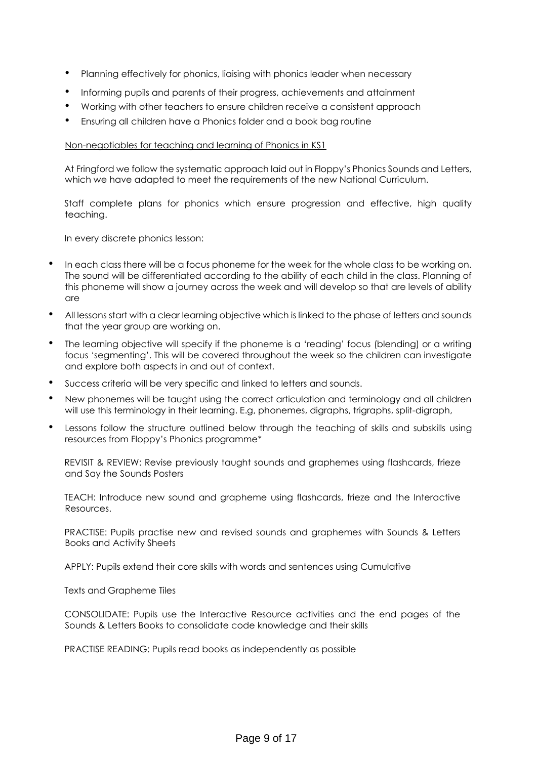- Planning effectively for phonics, liaising with phonics leader when necessary
- Informing pupils and parents of their progress, achievements and attainment
- Working with other teachers to ensure children receive a consistent approach
- Ensuring all children have a Phonics folder and a book bag routine

#### Non-negotiables for teaching and learning of Phonics in KS1

At Fringford we follow the systematic approach laid out in Floppy's Phonics Sounds and Letters, which we have adapted to meet the requirements of the new National Curriculum.

Staff complete plans for phonics which ensure progression and effective, high quality teaching.

In every discrete phonics lesson:

- In each class there will be a focus phoneme for the week for the whole class to be working on. The sound will be differentiated according to the ability of each child in the class. Planning of this phoneme will show a journey across the week and will develop so that are levels of ability are
- All lessons start with a clear learning objective which is linked to the phase of letters and sounds that the year group are working on.
- The learning objective will specify if the phoneme is a 'reading' focus (blending) or a writing focus 'segmenting'. This will be covered throughout the week so the children can investigate and explore both aspects in and out of context.
- Success criteria will be very specific and linked to letters and sounds.
- New phonemes will be taught using the correct articulation and terminology and all children will use this terminology in their learning. E.g, phonemes, digraphs, trigraphs, split-digraph,
- Lessons follow the structure outlined below through the teaching of skills and subskills using resources from Floppy's Phonics programme\*

REVISIT & REVIEW: Revise previously taught sounds and graphemes using flashcards, frieze and Say the Sounds Posters

TEACH: Introduce new sound and grapheme using flashcards, frieze and the Interactive Resources.

PRACTISE: Pupils practise new and revised sounds and graphemes with Sounds & Letters Books and Activity Sheets

APPLY: Pupils extend their core skills with words and sentences using Cumulative

Texts and Grapheme Tiles

CONSOLIDATE: Pupils use the Interactive Resource activities and the end pages of the Sounds & Letters Books to consolidate code knowledge and their skills

PRACTISE READING: Pupils read books as independently as possible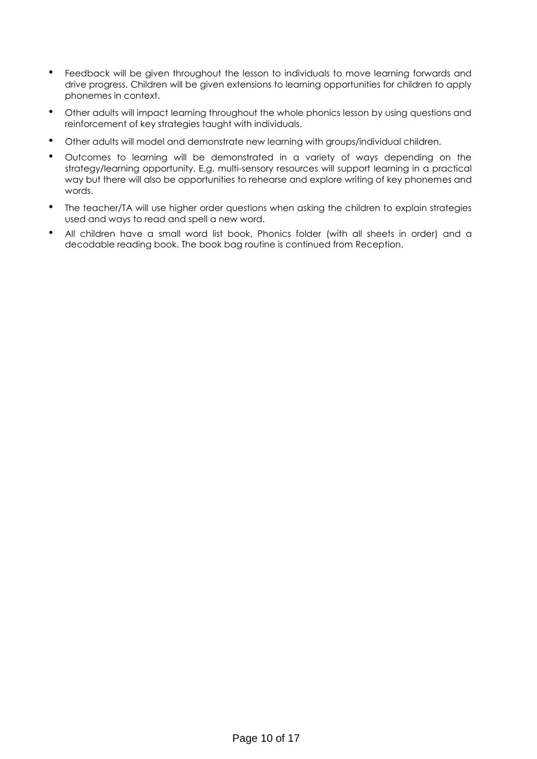- Feedback will be given throughout the lesson to individuals to move learning forwards and drive progress. Children will be given extensions to learning opportunities for children to apply phonemes in context.
- Other adults will impact learning throughout the whole phonics lesson by using questions and reinforcement of key strategies taught with individuals.
- Other adults will model and demonstrate new learning with groups/individual children.
- Outcomes to learning will be demonstrated in a variety of ways depending on the strategy/learning opportunity. E,g, multi-sensory resources will support learning in a practical way but there will also be opportunities to rehearse and explore writing of key phonemes and words.
- The teacher/TA will use higher order questions when asking the children to explain strategies used and ways to read and spell a new word.
- All children have a small word list book, Phonics folder (with all sheets in order) and a decodable reading book. The book bag routine is continued from Reception.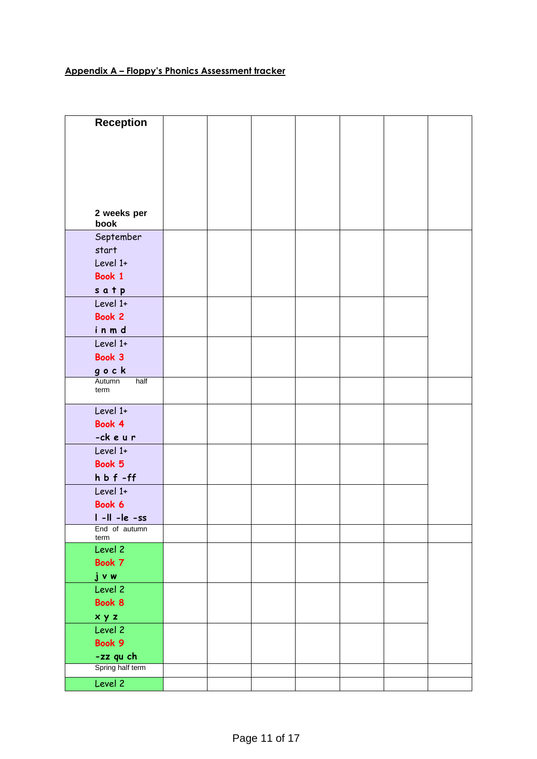# **Appendix A – Floppy's Phonics Assessment tracker**

| <b>Reception</b>       |  |  |  |  |
|------------------------|--|--|--|--|
|                        |  |  |  |  |
|                        |  |  |  |  |
|                        |  |  |  |  |
|                        |  |  |  |  |
|                        |  |  |  |  |
|                        |  |  |  |  |
|                        |  |  |  |  |
| 2 weeks per<br>book    |  |  |  |  |
| September              |  |  |  |  |
| start                  |  |  |  |  |
| Level 1+               |  |  |  |  |
| Book 1                 |  |  |  |  |
|                        |  |  |  |  |
| satp                   |  |  |  |  |
| Level 1+               |  |  |  |  |
| Book 2                 |  |  |  |  |
| inmd                   |  |  |  |  |
| Level 1+               |  |  |  |  |
| Book 3                 |  |  |  |  |
| gock                   |  |  |  |  |
| Autumn<br>half<br>term |  |  |  |  |
|                        |  |  |  |  |
| Level 1+               |  |  |  |  |
| Book 4                 |  |  |  |  |
| -ckeur                 |  |  |  |  |
| Level 1+               |  |  |  |  |
| Book 5                 |  |  |  |  |
| $h b f - ff$           |  |  |  |  |
| Level 1+               |  |  |  |  |
| Book 6                 |  |  |  |  |
| $I - II - Ie - ss$     |  |  |  |  |
| End of autumn          |  |  |  |  |
| term<br>Level 2        |  |  |  |  |
| Book 7                 |  |  |  |  |
| jvw                    |  |  |  |  |
| Level 2                |  |  |  |  |
| Book 8                 |  |  |  |  |
| xyz                    |  |  |  |  |
| Level 2                |  |  |  |  |
| Book 9                 |  |  |  |  |
| -zz qu ch              |  |  |  |  |
| Spring half term       |  |  |  |  |
| Level 2                |  |  |  |  |
|                        |  |  |  |  |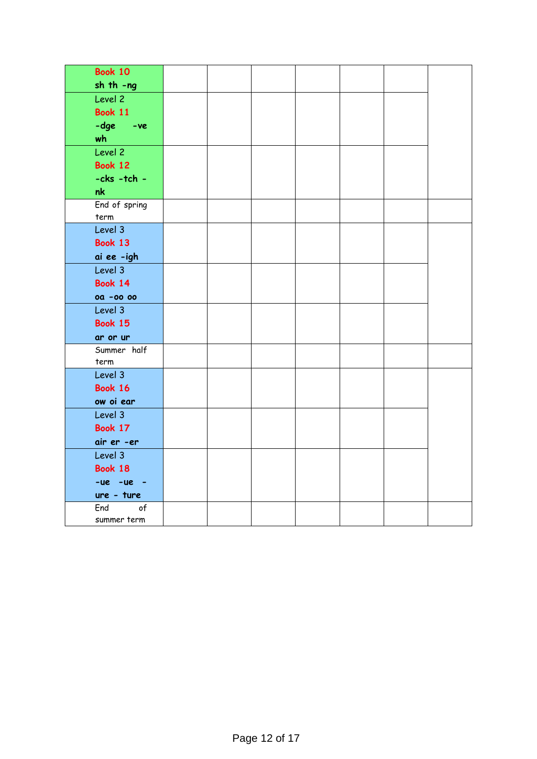| <b>Book 10</b>   |  |  |  |  |
|------------------|--|--|--|--|
| $sh$ th $-ng$    |  |  |  |  |
| Level 2          |  |  |  |  |
| <b>Book 11</b>   |  |  |  |  |
| -dge -ve         |  |  |  |  |
| wh               |  |  |  |  |
| Level 2          |  |  |  |  |
| <b>Book 12</b>   |  |  |  |  |
| $-cks - tch -$   |  |  |  |  |
| nk               |  |  |  |  |
| End of spring    |  |  |  |  |
| term             |  |  |  |  |
| Level 3          |  |  |  |  |
| Book 13          |  |  |  |  |
| ai ee -igh       |  |  |  |  |
| Level 3          |  |  |  |  |
| <b>Book 14</b>   |  |  |  |  |
| <b>00 -00 00</b> |  |  |  |  |
| Level 3          |  |  |  |  |
| <b>Book 15</b>   |  |  |  |  |
| ar or ur         |  |  |  |  |
| Summer half      |  |  |  |  |
| term             |  |  |  |  |
| Level 3          |  |  |  |  |
| <b>Book 16</b>   |  |  |  |  |
| ow oi ear        |  |  |  |  |
| Level 3          |  |  |  |  |
| Book 17          |  |  |  |  |
| air er -er       |  |  |  |  |
| Level 3          |  |  |  |  |
| Book 18          |  |  |  |  |
| $-ue$ $-ue$ $-$  |  |  |  |  |
| ure - ture       |  |  |  |  |
| of<br>End        |  |  |  |  |
| summer term      |  |  |  |  |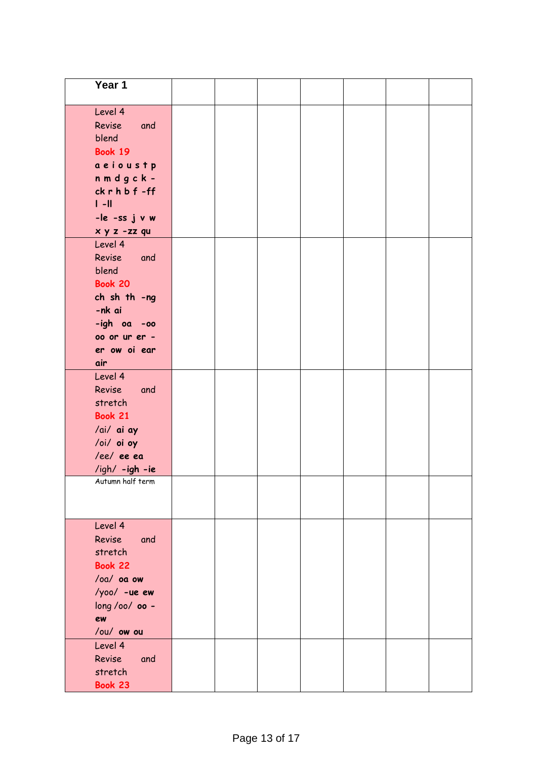| Year $1$         |  |  |  |  |
|------------------|--|--|--|--|
|                  |  |  |  |  |
| Level 4          |  |  |  |  |
| Revise<br>and    |  |  |  |  |
| blend            |  |  |  |  |
| <b>Book 19</b>   |  |  |  |  |
| aeioustp         |  |  |  |  |
| nmdgck-          |  |  |  |  |
| ckrhbf-ff        |  |  |  |  |
| $\  - \ $        |  |  |  |  |
| -le -ss j v w    |  |  |  |  |
| x y z -zz qu     |  |  |  |  |
| Level 4          |  |  |  |  |
| Revise and       |  |  |  |  |
| blend            |  |  |  |  |
| <b>Book 20</b>   |  |  |  |  |
| ch sh th -ng     |  |  |  |  |
| -nk ai           |  |  |  |  |
| -igh oa -oo      |  |  |  |  |
| 00 or ur er -    |  |  |  |  |
| er ow oi ear     |  |  |  |  |
| air              |  |  |  |  |
| Level 4          |  |  |  |  |
| Revise<br>and    |  |  |  |  |
| stretch          |  |  |  |  |
| <b>Book 21</b>   |  |  |  |  |
| /ai/ ai ay       |  |  |  |  |
| /oi/ oi oy       |  |  |  |  |
| /ee/ ee ea       |  |  |  |  |
| /igh/ -igh -ie   |  |  |  |  |
| Autumn half term |  |  |  |  |
|                  |  |  |  |  |
|                  |  |  |  |  |
| Level 4          |  |  |  |  |
| Revise and       |  |  |  |  |
| stretch          |  |  |  |  |
| <b>Book 22</b>   |  |  |  |  |
| $/oa/oa$ ou      |  |  |  |  |
| $/yoo/ -ue ew$   |  |  |  |  |
| long /oo/ 00 -   |  |  |  |  |
| ew               |  |  |  |  |
| /ou/ ow ou       |  |  |  |  |
| Level 4          |  |  |  |  |
| Revise<br>and    |  |  |  |  |
| stretch          |  |  |  |  |
| Book 23          |  |  |  |  |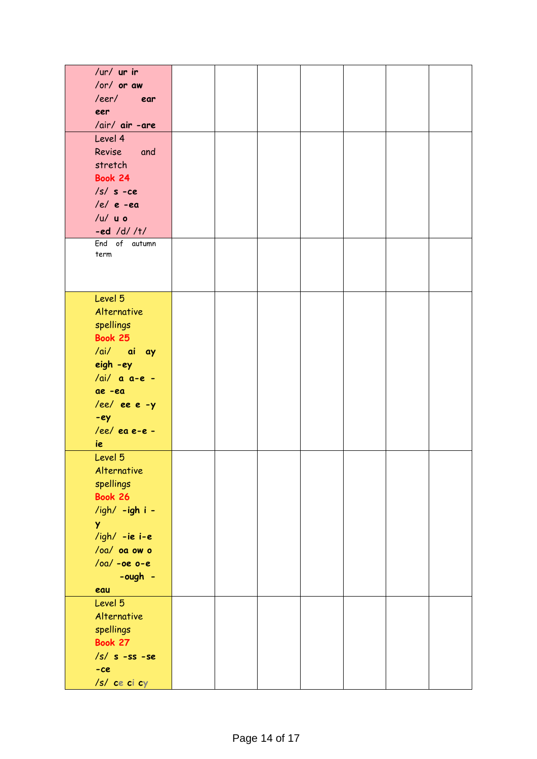| /ur/ $ur$ ir          |  |  |  |  |
|-----------------------|--|--|--|--|
| /or/ or aw            |  |  |  |  |
| /eer/ ear             |  |  |  |  |
| eer                   |  |  |  |  |
| /air/ air -are        |  |  |  |  |
| Level 4               |  |  |  |  |
| Revise and            |  |  |  |  |
| stretch               |  |  |  |  |
| Book 24               |  |  |  |  |
| $/s / s - ce$         |  |  |  |  |
| $/e/e$ -ea            |  |  |  |  |
|                       |  |  |  |  |
| $/u /$ $u o$          |  |  |  |  |
| $-ed / d / / t /$     |  |  |  |  |
| End of autumn<br>term |  |  |  |  |
|                       |  |  |  |  |
|                       |  |  |  |  |
|                       |  |  |  |  |
| Level 5               |  |  |  |  |
| Alternative           |  |  |  |  |
| spellings             |  |  |  |  |
| Book 25               |  |  |  |  |
| /ai/ ai ay            |  |  |  |  |
| eigh -ey              |  |  |  |  |
| $/ai/$ a a-e -        |  |  |  |  |
|                       |  |  |  |  |
| ae -ea                |  |  |  |  |
| /ee/ ee e -y          |  |  |  |  |
| -ey                   |  |  |  |  |
| /ee/ ea e-e -         |  |  |  |  |
| ie                    |  |  |  |  |
| Level 5               |  |  |  |  |
| Alternative           |  |  |  |  |
| spellings             |  |  |  |  |
| <b>Book 26</b>        |  |  |  |  |
| /igh/ -igh i -        |  |  |  |  |
| Y                     |  |  |  |  |
| /igh/ -ie i-e         |  |  |  |  |
| /oa/ oa ow o          |  |  |  |  |
| $/oa / -oe$ $o-e$     |  |  |  |  |
| $-cugh -$             |  |  |  |  |
| eau                   |  |  |  |  |
| Level 5               |  |  |  |  |
| Alternative           |  |  |  |  |
|                       |  |  |  |  |
| spellings             |  |  |  |  |
| <b>Book 27</b>        |  |  |  |  |
| $/s/ s - ss - se$     |  |  |  |  |
| $-ce$                 |  |  |  |  |
| /s/ ce ci cy          |  |  |  |  |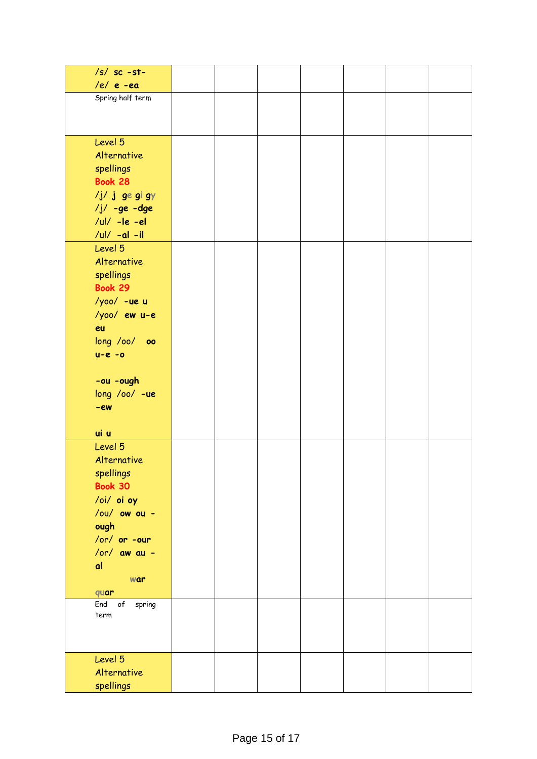| $/s/$ sc -st-             |  |  |  |  |
|---------------------------|--|--|--|--|
| $/e/e$ -ea                |  |  |  |  |
| Spring half term          |  |  |  |  |
|                           |  |  |  |  |
|                           |  |  |  |  |
| Level 5                   |  |  |  |  |
| Alternative               |  |  |  |  |
| spellings                 |  |  |  |  |
| <b>Book 28</b>            |  |  |  |  |
| /j/ j ge gi gy            |  |  |  |  |
| $/j/ -ge -dge$            |  |  |  |  |
| $ I - Ie - e $            |  |  |  |  |
| /ul/ $-al -il$<br>Level 5 |  |  |  |  |
| Alternative               |  |  |  |  |
| spellings                 |  |  |  |  |
| <b>Book 29</b>            |  |  |  |  |
| /yoo/ -ue u               |  |  |  |  |
| $/yoo/ewu-e$              |  |  |  |  |
| eu                        |  |  |  |  |
| long /oo/ oo              |  |  |  |  |
| $u-e - o$                 |  |  |  |  |
|                           |  |  |  |  |
| -ou -ough                 |  |  |  |  |
| long /oo/ -ue             |  |  |  |  |
| $-ew$                     |  |  |  |  |
|                           |  |  |  |  |
| ui u                      |  |  |  |  |
| Level 5                   |  |  |  |  |
| Alternative               |  |  |  |  |
| spellings<br>Book 30      |  |  |  |  |
| /oi/ oi oy                |  |  |  |  |
| /ou/ ow ou -              |  |  |  |  |
| ough                      |  |  |  |  |
| /or/ or -our              |  |  |  |  |
| $/$ or $/$ aw au -        |  |  |  |  |
| a                         |  |  |  |  |
| war                       |  |  |  |  |
| quar                      |  |  |  |  |
| of<br>spring<br>End       |  |  |  |  |
| term                      |  |  |  |  |
|                           |  |  |  |  |
|                           |  |  |  |  |
| Level 5                   |  |  |  |  |
| Alternative               |  |  |  |  |
| spellings                 |  |  |  |  |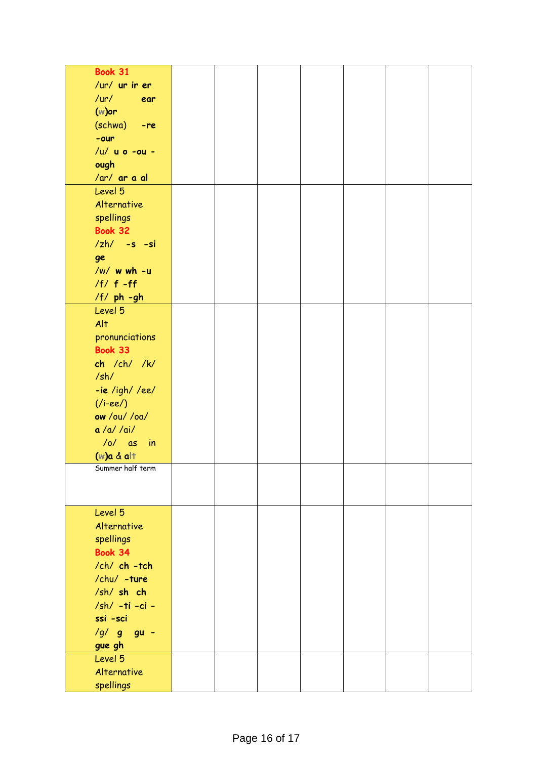| <b>Book 31</b>     |  |  |  |  |
|--------------------|--|--|--|--|
| /ur/ ur ir er      |  |  |  |  |
| $/$ ur $/$<br>ear  |  |  |  |  |
| $(w)$ or           |  |  |  |  |
| (schwa) -re        |  |  |  |  |
| $-our$             |  |  |  |  |
| /u/ u o -ou -      |  |  |  |  |
|                    |  |  |  |  |
| ough               |  |  |  |  |
| /ar/ ar a al       |  |  |  |  |
| Level 5            |  |  |  |  |
| Alternative        |  |  |  |  |
| spellings          |  |  |  |  |
| <b>Book 32</b>     |  |  |  |  |
| $zh/ -s -si$       |  |  |  |  |
| ge                 |  |  |  |  |
| /w/ w wh -u        |  |  |  |  |
| $/f/ f - ff$       |  |  |  |  |
| /f/ ph -gh         |  |  |  |  |
| Level 5            |  |  |  |  |
| Alt                |  |  |  |  |
| pronunciations     |  |  |  |  |
| Book 33            |  |  |  |  |
| ch /ch/ /k/        |  |  |  |  |
| /sh/               |  |  |  |  |
| $-ie$ /igh//ee/    |  |  |  |  |
| $($ i-ee $/$ )     |  |  |  |  |
| ow /ou/ /oa/       |  |  |  |  |
| a /a/ /ai/         |  |  |  |  |
| $/o/$ as<br>$-$ in |  |  |  |  |
| $(w)a & al +$      |  |  |  |  |
| Summer half term   |  |  |  |  |
|                    |  |  |  |  |
|                    |  |  |  |  |
| Level 5            |  |  |  |  |
| Alternative        |  |  |  |  |
| spellings          |  |  |  |  |
| <b>Book 34</b>     |  |  |  |  |
| /ch/ ch -tch       |  |  |  |  |
|                    |  |  |  |  |
| /chu/ -ture        |  |  |  |  |
| /sh/ sh ch         |  |  |  |  |
| /sh/ -ti -ci -     |  |  |  |  |
| ssi -sci           |  |  |  |  |
| /g/ g gu -         |  |  |  |  |
| gue gh             |  |  |  |  |
| Level 5            |  |  |  |  |
| Alternative        |  |  |  |  |
| spellings          |  |  |  |  |